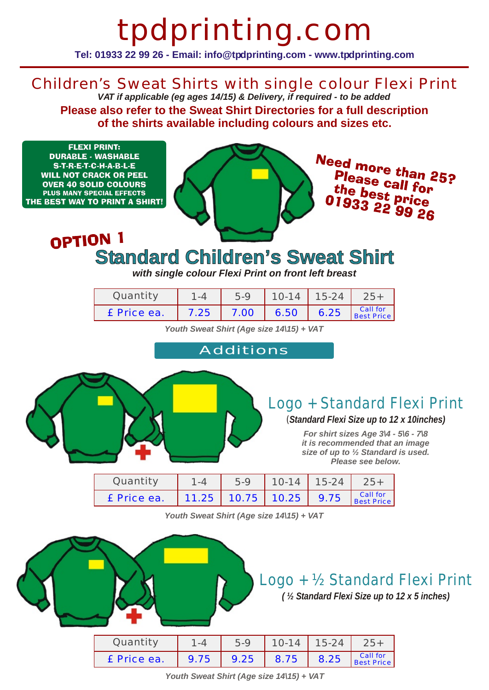# tpdprinting.com

**Tel: 01933 22 99 26 - Email: info@tpdprinting.com - www.tpdprinting.com**

Children's Sweat Shirts with single colour Flexi Print *VAT if applicable (eg ages 14/15) & Delivery, if required - to be added*

**Please also refer to the Sweat Shirt Directories for a full description of the shirts available including colours and sizes etc.**

**FLEXI PRINT: DURABLE - WASHABLE** S-T-R-E-T-C-H-A-B-L-E **WILL NOT CRACK OR PEEL OVER 40 SOLID COLOURS** PLUS MANY SPECIAL EFFECTS THE BEST WAY TO PRINT A SHIRT!



Need more than 25? Please call for<br>the best ... the best price<br>UPS3 22 99 26

#### OPTION 1 **Standard Children's Sweat Shirt**

*with single colour Flexi Print on front left breast*

| Ouantit∖    | - 4  | $5-9$ | $10 - 14$ | $15-24$ |                               |
|-------------|------|-------|-----------|---------|-------------------------------|
| £ Price ea. | 7.25 | 7.00  | 6.50      | 6.25    | Call for<br><b>Best Price</b> |

*Youth Sweat Shirt (Age size 14\15) + VAT*

Additions



#### Logo + Standard Flexi Print

#### (*Standard Flexi Size up to 12 x 10inches)*

*For shirt sizes Age 3\4 - 5\6 - 7\8 it is recommended that an image size of up to ½ Standard is used. Please see below.*

| Ouantitv    | ⊢ – 4 | $5-9$                    | $10 - 14$ | $15-24$ |                        |
|-------------|-------|--------------------------|-----------|---------|------------------------|
| £ Price ea. |       | $11.25$ 10.75 10.25 9.75 |           |         | Call for<br>Best Price |

*Youth Sweat Shirt (Age size 14\15) + VAT*



*( ½ Standard Flexi Size up to 12 x 5 inches)*

| Quantity    | $-4$  | 5-9                        | $10-14$ 15-24 |  |
|-------------|-------|----------------------------|---------------|--|
| £ Price ea. | .9.75 | 9.25 8.75 8.25 Best Price, |               |  |

*Youth Sweat Shirt (Age size 14\15) + VAT*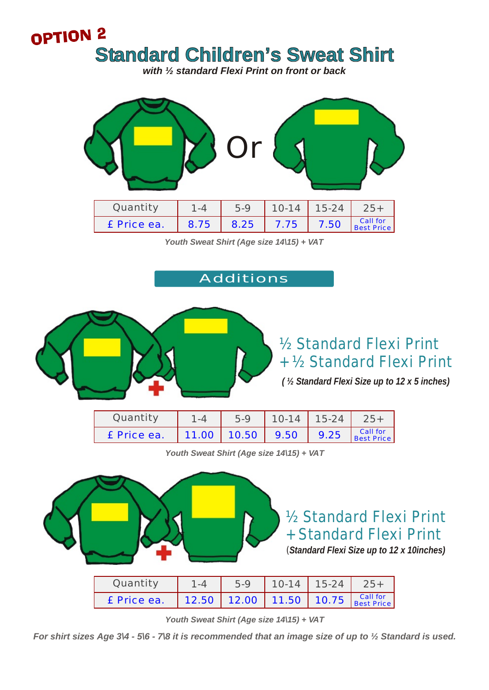### OPTION<sub>2</sub> **Standard Children's Sweat Shirt**

*with ½ standard Flexi Print on front or back*



*Youth Sweat Shirt (Age size 14\15) + VAT*

#### Additions



#### ½ Standard Flexi Print + ½ Standard Flexi Print

*( ½ Standard Flexi Size up to 12 x 5 inches)*

| Quantity    | $5-9$                | $10-14$   15-24 $'$ |                               |
|-------------|----------------------|---------------------|-------------------------------|
| £ Price ea. | 11.00   10.50   9.50 | 9.25                | Call for<br><b>Best Price</b> |

*Youth Sweat Shirt (Age size 14\15) + VAT*



½ Standard Flexi Print + Standard Flexi Print (*Standard Flexi Size up to 12 x 10inches)*

| Quantity    | $5-9$                                                               | $10-14$ 15-24 |  |
|-------------|---------------------------------------------------------------------|---------------|--|
| £ Price ea. | 12.50 12.00 11.50 10.75 $\frac{\text{Call for}}{\text{Best Price}}$ |               |  |

*Youth Sweat Shirt (Age size 14\15) + VAT*

*For shirt sizes Age 3\4 - 5\6 - 7\8 it is recommended that an image size of up to ½ Standard is used.*